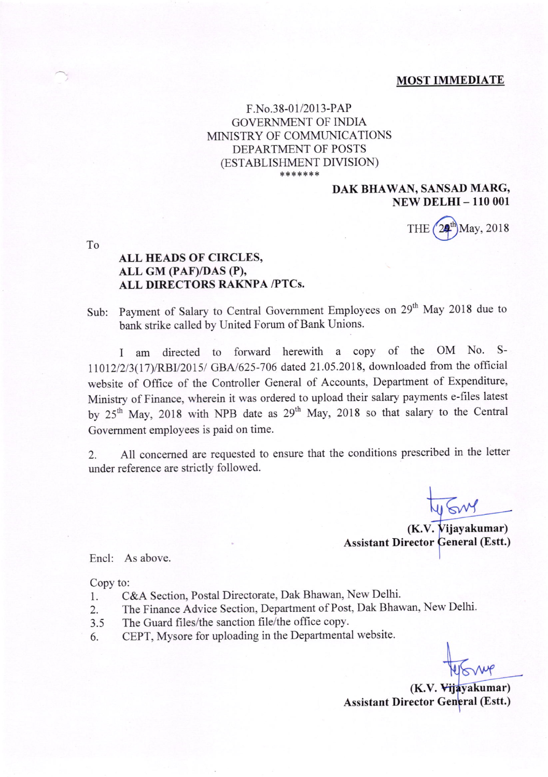### MOST IMMEDIATE

# F.No.38-01/2013-PAP GOVERNMENT OF INDIA MINISTRY OF COMMUNICATIONS DEPARTMENT OF POSTS (ESTABLISHMENT DIVISION) \*\*\*\*\*\*\*

# DAK BHAWAN, SANSAD MARG, **NEW DELHI - 110 001**

THE  $(24^{\text{th}})$ May, 2018

To

# ALL HEADS OF CIRCLES, ALL GM (PAF)/DAS (P), ALL DIRECTORS RAKNPA /PTCs.

Sub: Payment of Salary to Central Govemment Employees on 29'h May 2018 due to bank strike called by United Forum of Bank Unions.

I am directed to forward herewith a copy of the OM No. S-11012/2/3(17)/RBI/2015/ GBA/625-706 dated 21.05.2018, downloaded from the official website of Office of the Controller General of Accounts, Department of Expenditure, Ministry of Finance, wherein it was ordered to upload their salary payments e-files latest by 25<sup>th</sup> May, 2018 with NPB date as 29<sup>th</sup> May, 2018 so that salary to the Central Govemment employees is paid on time.

2. All concerned are requested to ensure that the conditions prescribed in the letter under reference are strictly followed.

(K.V. Vijayakumar) Assistant Director General (Estt.)

Encl: As above.

Copy to:

- 1. C&A Section, Postal Directorate, Dak Bhawan, New Delhi.
- 2. The Finance Advice Section, Department of Post, Dak Bhawan, New Delhi.<br>3.5 The Guard files/the sanction file/the office copy.
- The Guard files/the sanction file/the office copy.
- 6. CEPT, Mysore for uploading in the Departmental website.

(K.V. Vijayakumar) Assistant Director General (Estt.)